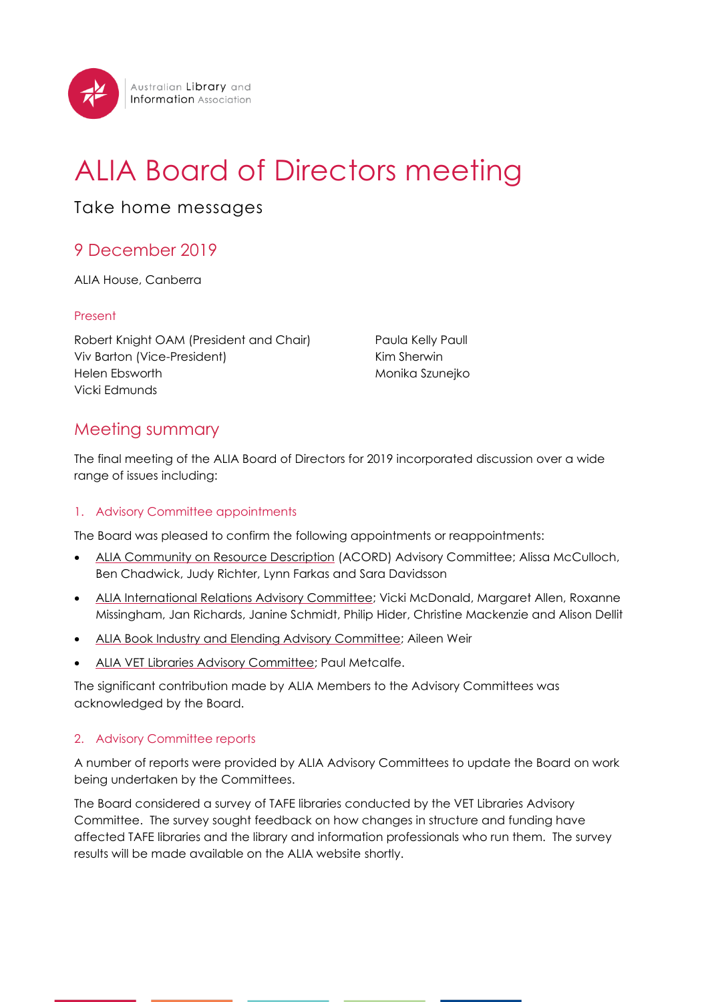

# ALIA Board of Directors meeting

Take home messages

## 9 December 2019

ALIA House, Canberra

#### Present

Robert Knight OAM (President and Chair) Viv Barton (Vice-President) Helen Ebsworth Vicki Edmunds

Paula Kelly Paull Kim Sherwin Monika Szunejko

### Meeting summary

The final meeting of the ALIA Board of Directors for 2019 incorporated discussion over a wide range of issues including:

#### 1. Advisory Committee appointments

The Board was pleased to confirm the following appointments or reappointments:

- ALIA Community on [Resource Description](https://www.alia.org.au/alia-community-resource-description) (ACORD) Advisory Committee; Alissa McCulloch, Ben Chadwick, Judy Richter, Lynn Farkas and Sara Davidsson
- [ALIA International Relations Advisory Committee;](https://www.alia.org.au/which-sector-are-you-interested/international-relations) Vicki McDonald, Margaret Allen, Roxanne Missingham, Jan Richards, Janine Schmidt, Philip Hider, Christine Mackenzie and Alison Dellit
- ALIA Book [Industry and Elending Advisory Committee;](https://www.alia.org.au/alia-book-industry-and-elending-advisory-committee) Aileen Weir
- [ALIA VET Libraries Advisory Committee;](https://www.alia.org.au/node/184/university-and-tafe-libraries) Paul Metcalfe.

The significant contribution made by ALIA Members to the Advisory Committees was acknowledged by the Board.

#### 2. Advisory Committee reports

A number of reports were provided by ALIA Advisory Committees to update the Board on work being undertaken by the Committees.

The Board considered a survey of TAFE libraries conducted by the VET Libraries Advisory Committee. The survey sought feedback on how changes in structure and funding have affected TAFE libraries and the library and information professionals who run them. The survey results will be made available on the ALIA website shortly.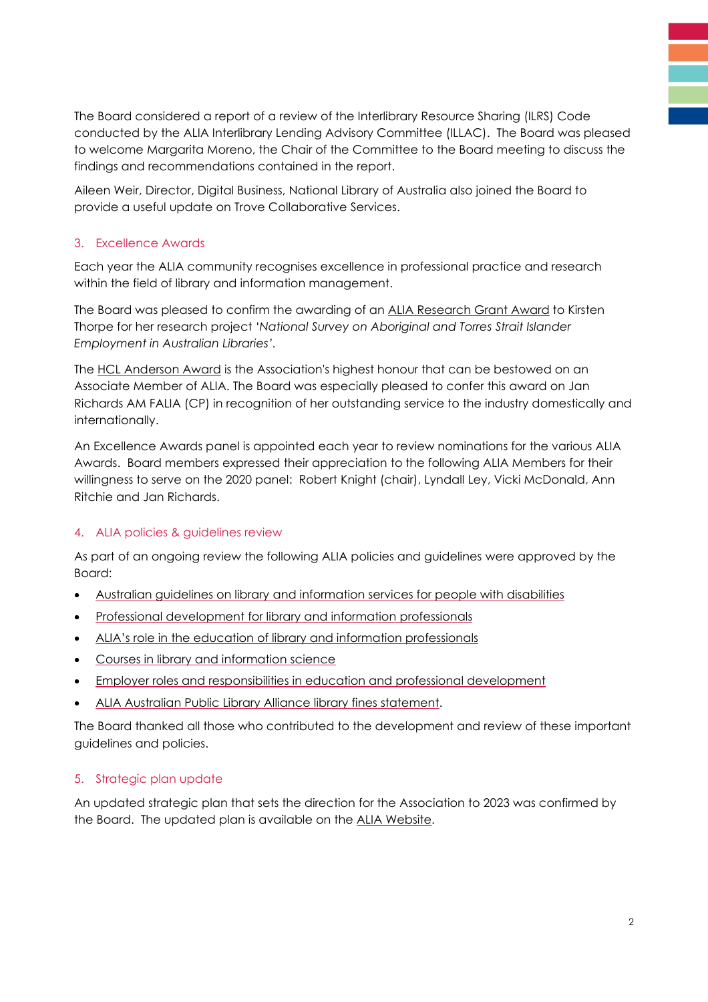The Board considered a report of a review of the Interlibrary Resource Sharing (ILRS) Code conducted by the ALIA Interlibrary Lending Advisory Committee (ILLAC). The Board was pleased to welcome Margarita Moreno, the Chair of the Committee to the Board meeting to discuss the findings and recommendations contained in the report.

Aileen Weir, Director, Digital Business, National Library of Australia also joined the Board to provide a useful update on Trove Collaborative Services.

#### 3. Excellence Awards

Each year the ALIA community recognises excellence in professional practice and research within the field of library and information management.

The Board was pleased to confirm the awarding of an [ALIA Research Grant](https://www.alia.org.au/news/19744/2019-alia-research-grant-award-goes-kirsten-thorpe) Award to Kirsten Thorpe for her research project '*National Survey on Aboriginal and Torres Strait Islander Employment in Australian Libraries'.*

The [HCL Anderson Award](https://www.alia.org.au/news/19529/alia-recognises-jan-richards-hcl-anderson-award) is the Association's highest honour that can be bestowed on an Associate Member of ALIA. The Board was especially pleased to confer this award on Jan Richards AM FALIA (CP) in recognition of her outstanding service to the industry domestically and internationally.

An Excellence Awards panel is appointed each year to review nominations for the various ALIA Awards. Board members expressed their appreciation to the following ALIA Members for their willingness to serve on the 2020 panel: Robert Knight (chair), Lyndall Ley, Vicki McDonald, Ann Ritchie and Jan Richards.

#### 4. ALIA policies & guidelines review

As part of an ongoing review the following ALIA policies and guidelines were approved by the Board:

- Australian guidelines on library [and information services for people with disabilities](https://www.alia.org.au/about-alia/policies-and-guidelines/alia-policies/guidelines-library-standards-people-disabilities)
- [Professional development for library and information](https://www.alia.org.au/about-alia/policies-standards-and-guidelines/professional-development-library-and-information-professionals) professionals
- ALIA's role in the education [of library and information professionals](https://www.alia.org.au/about-alia/policies-standards-and-guidelines/alias-role-education-library-and-information-professionals)
- [Courses in library and information science](https://www.alia.org.au/about-alia/policies-standards-and-guidelines/courses-library-and-information-management)
- Employer roles and responsibilities [in education and professional development](https://www.alia.org.au/about-alia/policies-standards-and-guidelines/employer-roles-and-responsibilities-education-and-professional-development)
- [ALIA Australian Public Library Alliance](https://www.alia.org.au/alia-australian-public-library-alliance-apla-statement-fines-overdue-items-australian-public) library fines statement.

The Board thanked all those who contributed to the development and review of these important guidelines and policies.

#### 5. Strategic plan update

An updated strategic plan that sets the direction for the Association to 2023 was confirmed by the Board. The updated plan is available on the [ALIA Website.](https://www.alia.org.au/sites/default/files/documents/2019-09-16%20ALIA%20Strategic%20Plan%202019-2023%20final.pdf)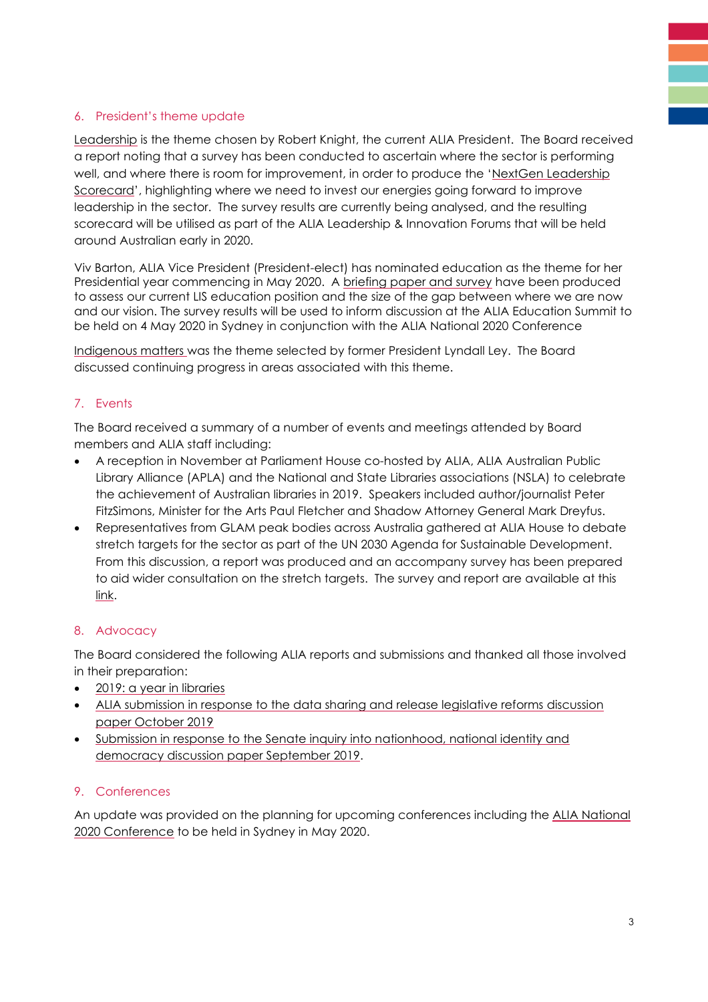#### 6. President's theme update

[Leadership](https://www.alia.org.au/advocacy-and-campaigns/leadership) is the theme chosen by Robert Knight, the current ALIA President. The Board received a report noting that a survey has been conducted to ascertain where the sector is performing well, and where there is room for improvement, in order to produce the 'NextGen Leadership [Scorecard](https://www.alia.org.au/sites/default/files/2019%20NextGen%20Leadership%20Scorecard_0.pdf)', highlighting where we need to invest our energies going forward to improve leadership in the sector. The survey results are currently being analysed, and the resulting scorecard will be utilised as part of the ALIA Leadership & Innovation Forums that will be held around Australian early in 2020.

Viv Barton, ALIA Vice President (President-elect) has nominated education as the theme for her Presidential year commencing in May 2020. A [briefing paper and survey](https://www.alia.org.au/future-lis-education) have been produced to assess our current LIS education position and the size of the gap between where we are now and our vision. The survey results will be used to inform discussion at the ALIA Education Summit to be held on 4 May 2020 in Sydney in conjunction with the ALIA National 2020 Conference

[Indigenous matters w](https://www.alia.org.au/advocacy-and-campaigns/indigenous-matters)as the theme selected by former President Lyndall Ley. The Board discussed continuing progress in areas associated with this theme.

#### 7. Events

The Board received a summary of a number of events and meetings attended by Board members and ALIA staff including:

- A reception in November at Parliament House co-hosted by ALIA, ALIA Australian Public Library Alliance (APLA) and the National and State Libraries associations (NSLA) to celebrate the achievement of Australian libraries in 2019. Speakers included author/journalist Peter FitzSimons, Minister for the Arts Paul Fletcher and Shadow Attorney General Mark Dreyfus.
- Representatives from GLAM peak bodies across Australia gathered at ALIA House to debate stretch targets for the sector as part of the UN 2030 Agenda for Sustainable Development. From this discussion, a report was produced and an accompany survey has been prepared to aid wider consultation on the stretch targets. The survey and report are available at this [link.](https://www.alia.org.au/advocacy-and-campaigns/think-global-act-local)

#### 8. Advocacy

The Board considered the following ALIA reports and submissions and thanked all those involved in their preparation:

- [2019: a year in libraries](https://read.alia.org.au/2019-year-libraries)
- ALIA submission in response to [the data sharing and release legislative reforms discussion](https://read.alia.org.au/alia-submission-response-data-sharing-and-release-legislative-reforms-discussion-paper-october-2019) [paper October 2019](https://read.alia.org.au/alia-submission-response-data-sharing-and-release-legislative-reforms-discussion-paper-october-2019)
- Submission in response [to the Senate inquiry into nationhood, national identity and](../../AppData/Local/Microsoft/Windows/INetCache/Content.Outlook/MXT4SJBR/Submission%20in%20response%20to%20the%20Senate%20inquiry%20into%20nationhood,%20national%20identity%20and%20democracy%20discussion%20paper)  [democracy discussion paper September 2019.](../../AppData/Local/Microsoft/Windows/INetCache/Content.Outlook/MXT4SJBR/Submission%20in%20response%20to%20the%20Senate%20inquiry%20into%20nationhood,%20national%20identity%20and%20democracy%20discussion%20paper)

#### 9. Conferences

An update was provided on the planning for upcoming conferences including the [ALIA National](http://www.cvent.com/events/alia-national-2020-conference/event-summary-f5aec5f6e1504f079fb67b5e20b4adea.aspx)  [2020 Conference](http://www.cvent.com/events/alia-national-2020-conference/event-summary-f5aec5f6e1504f079fb67b5e20b4adea.aspx) to be held in Sydney in May 2020.